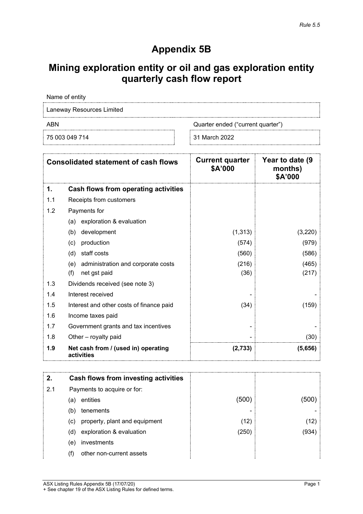# **Appendix 5B**

# **Mining exploration entity or oil and gas exploration entity quarterly cash flow report**

Name of entity

Laneway Resources Limited

ABN Quarter ended ("current quarter")

75 003 049 714 31 March 2022

|     | <b>Consolidated statement of cash flows</b>       | <b>Current quarter</b><br>\$A'000 | Year to date (9)<br>months)<br>\$A'000 |
|-----|---------------------------------------------------|-----------------------------------|----------------------------------------|
| 1.  | Cash flows from operating activities              |                                   |                                        |
| 1.1 | Receipts from customers                           |                                   |                                        |
| 1.2 | Payments for                                      |                                   |                                        |
|     | exploration & evaluation<br>(a)                   |                                   |                                        |
|     | development<br>(b)                                | (1, 313)                          | (3,220)                                |
|     | production<br>(c)                                 | (574)                             | (979)                                  |
|     | staff costs<br>(d)                                | (560)                             | (586)                                  |
|     | administration and corporate costs<br>(e)         | (216)                             | (465)                                  |
|     | (f)<br>net gst paid                               | (36)                              | (217)                                  |
| 1.3 | Dividends received (see note 3)                   |                                   |                                        |
| 1.4 | Interest received                                 |                                   |                                        |
| 1.5 | Interest and other costs of finance paid          | (34)                              | (159)                                  |
| 1.6 | Income taxes paid                                 |                                   |                                        |
| 1.7 | Government grants and tax incentives              |                                   |                                        |
| 1.8 | Other - royalty paid                              |                                   | (30)                                   |
| 1.9 | Net cash from / (used in) operating<br>activities | (2,733)                           | (5,656)                                |

| 2.  | Cash flows from investing activities |       |      |
|-----|--------------------------------------|-------|------|
| 2.1 | Payments to acquire or for:          |       |      |
|     | entities<br>(a)                      | (500  |      |
|     | tenements<br>(b)                     |       |      |
|     | property, plant and equipment<br>(c) | (12)  | (12) |
|     | exploration & evaluation<br>(d)      | (250) | (934 |
|     | investments<br>(e)                   |       |      |
|     | other non-current assets<br>(f)      |       |      |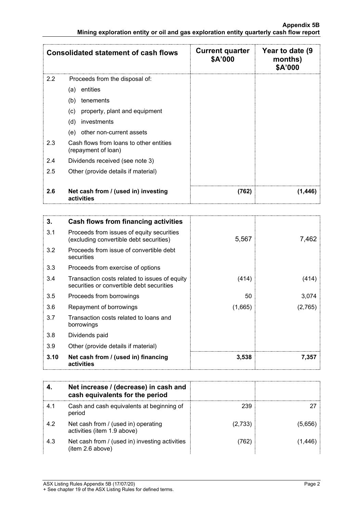|     | <b>Consolidated statement of cash flows</b>                    | <b>Current quarter</b><br>\$A'000 | Year to date (9<br>months)<br>\$A'000 |
|-----|----------------------------------------------------------------|-----------------------------------|---------------------------------------|
| 2.2 | Proceeds from the disposal of:                                 |                                   |                                       |
|     | entities<br>(a)                                                |                                   |                                       |
|     | tenements<br>(b)                                               |                                   |                                       |
|     | property, plant and equipment<br>(c)                           |                                   |                                       |
|     | (d)<br>investments                                             |                                   |                                       |
|     | other non-current assets<br>(e)                                |                                   |                                       |
| 2.3 | Cash flows from loans to other entities<br>(repayment of loan) |                                   |                                       |
| 2.4 | Dividends received (see note 3)                                |                                   |                                       |
| 2.5 | Other (provide details if material)                            |                                   |                                       |
|     |                                                                |                                   |                                       |
| 2.6 | Net cash from / (used in) investing<br>activities              | (762)                             | (1.446                                |

| 3.   | Cash flows from financing activities                                                       |         |         |
|------|--------------------------------------------------------------------------------------------|---------|---------|
| 3.1  | Proceeds from issues of equity securities<br>(excluding convertible debt securities)       | 5,567   | 7,462   |
| 3.2  | Proceeds from issue of convertible debt<br>securities                                      |         |         |
| 3.3  | Proceeds from exercise of options                                                          |         |         |
| 3.4  | Transaction costs related to issues of equity<br>securities or convertible debt securities | (414)   | (414)   |
| 3.5  | Proceeds from borrowings                                                                   | 50      | 3,074   |
| 3.6  | Repayment of borrowings                                                                    | (1,665) | (2,765) |
| 3.7  | Transaction costs related to loans and<br>borrowings                                       |         |         |
| 3.8  | Dividends paid                                                                             |         |         |
| 3.9  | Other (provide details if material)                                                        |         |         |
| 3.10 | Net cash from / (used in) financing<br>activities                                          | 3,538   | 7.357   |

|     | Net increase / (decrease) in cash and<br>cash equivalents for the period |         |        |
|-----|--------------------------------------------------------------------------|---------|--------|
| 4.1 | Cash and cash equivalents at beginning of<br>period                      | 239     |        |
| 4.2 | Net cash from / (used in) operating<br>activities (item 1.9 above)       | (2,733) | (5.656 |
| 4.3 | Net cash from / (used in) investing activities<br>(item 2.6 above)       | 762`    |        |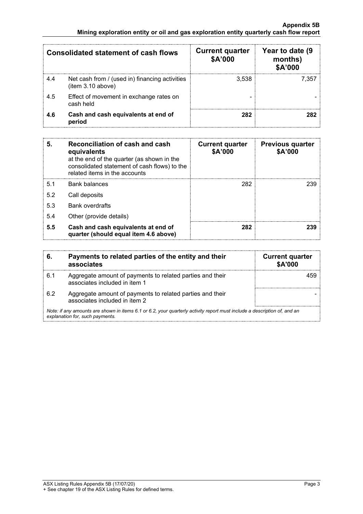|     | Consolidated statement of cash flows                               | <b>Current quarter</b><br>\$A'000 | Year to date (9<br>months)<br>\$A'000 |
|-----|--------------------------------------------------------------------|-----------------------------------|---------------------------------------|
| 4.4 | Net cash from / (used in) financing activities<br>item 3.10 above) | 3.538                             | 7.357                                 |
| 4.5 | Effect of movement in exchange rates on<br>cash held               |                                   |                                       |
| 4.6 | Cash and cash equivalents at end of<br>period                      | 282                               |                                       |

| 5.  | Reconciliation of cash and cash<br>equivalents<br>at the end of the quarter (as shown in the<br>consolidated statement of cash flows) to the<br>related items in the accounts | <b>Current quarter</b><br>\$A'000 | <b>Previous quarter</b><br>\$A'000 |
|-----|-------------------------------------------------------------------------------------------------------------------------------------------------------------------------------|-----------------------------------|------------------------------------|
| 5.1 | Bank balances                                                                                                                                                                 | 282                               | 239                                |
| 5.2 | Call deposits                                                                                                                                                                 |                                   |                                    |
| 5.3 | <b>Bank overdrafts</b>                                                                                                                                                        |                                   |                                    |
| 5.4 | Other (provide details)                                                                                                                                                       |                                   |                                    |
| 5.5 | Cash and cash equivalents at end of<br>quarter (should equal item 4.6 above)                                                                                                  | 282                               |                                    |

|                                                                                                                                                             | Payments to related parties of the entity and their<br>associates                          | <b>Current quarter</b><br><b>\$A'000</b> |
|-------------------------------------------------------------------------------------------------------------------------------------------------------------|--------------------------------------------------------------------------------------------|------------------------------------------|
| 6.1                                                                                                                                                         | Aggregate amount of payments to related parties and their<br>associates included in item 1 |                                          |
| 6.2                                                                                                                                                         | Aggregate amount of payments to related parties and their<br>associates included in item 2 |                                          |
| Note: if any amounts are shown in items 6.1 or 6.2, your quarterly activity report must include a description of, and an<br>explanation for, such payments. |                                                                                            |                                          |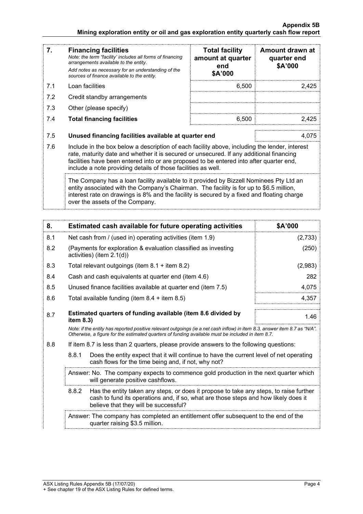### **Appendix 5B Mining exploration entity or oil and gas exploration entity quarterly cash flow report**

| 7.  | <b>Financing facilities</b><br>Note: the term "facility' includes all forms of financing<br>arrangements available to the entity.<br>Add notes as necessary for an understanding of the<br>sources of finance available to the entity.                                                                                                               | <b>Total facility</b><br>amount at quarter<br>end<br>\$A'000 | Amount drawn at<br>quarter end<br>\$A'000 |
|-----|------------------------------------------------------------------------------------------------------------------------------------------------------------------------------------------------------------------------------------------------------------------------------------------------------------------------------------------------------|--------------------------------------------------------------|-------------------------------------------|
| 7.1 | Loan facilities                                                                                                                                                                                                                                                                                                                                      | 6,500                                                        | 2,425                                     |
| 7.2 | Credit standby arrangements                                                                                                                                                                                                                                                                                                                          |                                                              |                                           |
| 7.3 | Other (please specify)                                                                                                                                                                                                                                                                                                                               |                                                              |                                           |
| 7.4 | <b>Total financing facilities</b>                                                                                                                                                                                                                                                                                                                    | 6,500                                                        | 2.425                                     |
| 7.5 | Unused financing facilities available at quarter end                                                                                                                                                                                                                                                                                                 |                                                              | 4.075                                     |
| 7.6 | Include in the box below a description of each facility above, including the lender, interest<br>rate, maturity date and whether it is secured or unsecured. If any additional financing<br>facilities have been entered into or are proposed to be entered into after quarter end,<br>include a note providing details of those facilities as well. |                                                              |                                           |
|     | The Company has a loan facility available to it provided by Bizzell Nominees Pty Ltd an<br>entity associated with the Company's Chairman. The facility is for up to \$6.5 million,<br>interest rate on drawings is 8% and the facility is secured by a fixed and floating charge<br>over the assets of the Company.                                  |                                                              |                                           |

| 8.  | Estimated cash available for future operating activities                                                                                                                                                                        | \$A'000 |  |
|-----|---------------------------------------------------------------------------------------------------------------------------------------------------------------------------------------------------------------------------------|---------|--|
| 8.1 | Net cash from / (used in) operating activities (item 1.9)                                                                                                                                                                       | (2,733) |  |
| 8.2 | (Payments for exploration & evaluation classified as investing<br>activities) (item $2.1(d)$ )                                                                                                                                  | (250)   |  |
| 8.3 | Total relevant outgoings (item $8.1 +$ item $8.2$ )                                                                                                                                                                             | (2,983) |  |
| 8.4 | Cash and cash equivalents at quarter end (item 4.6)                                                                                                                                                                             | 282     |  |
| 8.5 | Unused finance facilities available at quarter end (item 7.5)                                                                                                                                                                   | 4,075   |  |
| 8.6 | Total available funding (item $8.4 +$ item $8.5$ )                                                                                                                                                                              | 4,357   |  |
| 8.7 | Estimated quarters of funding available (item 8.6 divided by<br>item 8.3)                                                                                                                                                       |         |  |
|     | Note: if the entity has reported positive relevant outgoings (ie a net cash inflow) in item 8.3, answer item 8.7 as "N/A".<br>Otherwise, a figure for the estimated quarters of funding available must be included in item 8.7. |         |  |
| 8.8 | If item 8.7 is less than 2 quarters, please provide answers to the following questions:                                                                                                                                         |         |  |
|     | 8.8.1<br>Does the entity expect that it will continue to have the current level of net operating<br>cash flows for the time being and, if not, why not?                                                                         |         |  |
|     | Answer: No. The company expects to commence gold production in the next quarter which<br>will generate positive cashflows.                                                                                                      |         |  |
|     | 8.8.2<br>Has the entity taken any steps, or does it propose to take any steps, to raise further<br>cash to fund its operations and, if so, what are those steps and how likely does it<br>believe that they will be successful? |         |  |
|     | Answer: The company has completed an entitlement offer subsequent to the end of the<br>quarter raising \$3.5 million.                                                                                                           |         |  |